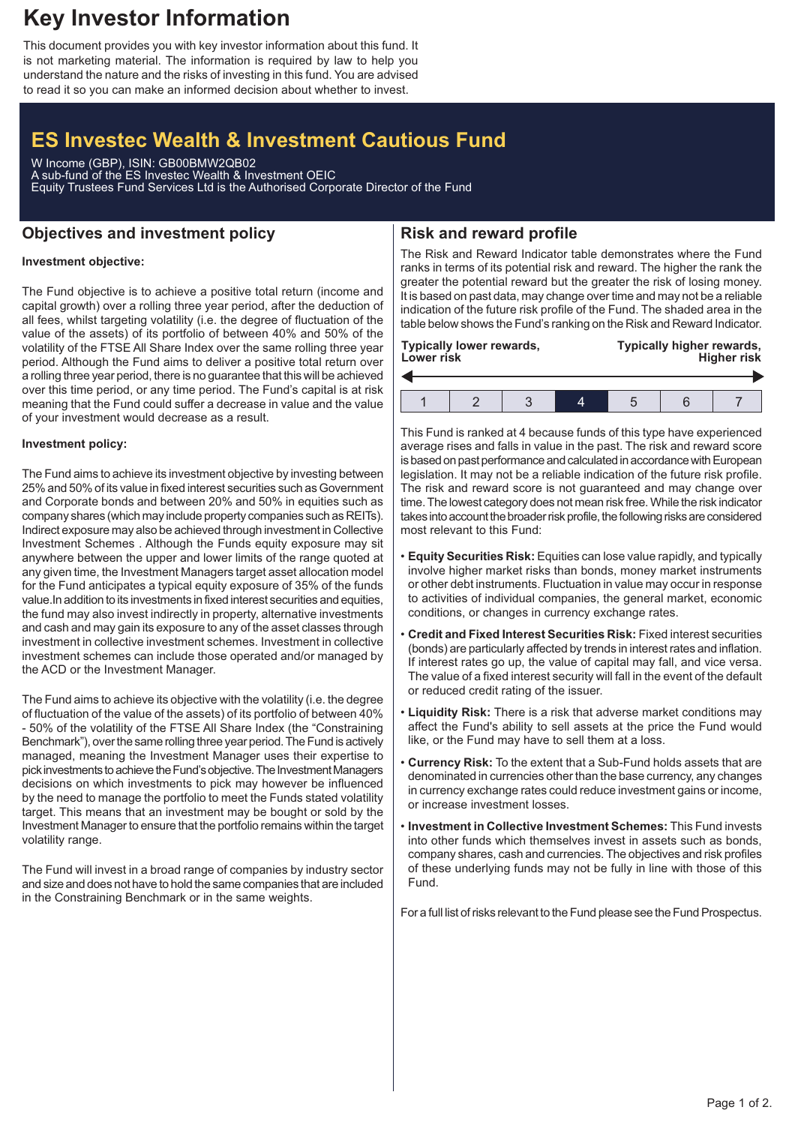## **Key Investor Information**

This document provides you with key investor information about this fund. It is not marketing material. The information is required by law to help you understand the nature and the risks of investing in this fund. You are advised to read it so you can make an informed decision about whether to invest.

# **ES Investec Wealth & Investment Cautious Fund**

W Income (GBP), ISIN: GB00BMW2QB02 A sub-fund of the ES Investec Wealth & Investment OEIC Equity Trustees Fund Services Ltd is the Authorised Corporate Director of the Fund

### **Objectives and investment policy**

## **Risk and reward profile**

### **Investment objective:**

The Fund objective is to achieve a positive total return (income and capital growth) over a rolling three year period, after the deduction of all fees, whilst targeting volatility (i.e. the degree of fluctuation of the value of the assets) of its portfolio of between 40% and 50% of the volatility of the FTSE All Share Index over the same rolling three year period. Although the Fund aims to deliver a positive total return over a rolling three year period, there is no guarantee that this will be achieved over this time period, or any time period. The Fund's capital is at risk meaning that the Fund could suffer a decrease in value and the value of your investment would decrease as a result.

#### **Investment policy:**

The Fund aims to achieve its investment objective by investing between 25% and 50% of its value in fixed interest securities such as Government and Corporate bonds and between 20% and 50% in equities such as company shares (which may include property companies such as REITs). Indirect exposure may also be achieved through investment in Collective Investment Schemes . Although the Funds equity exposure may sit anywhere between the upper and lower limits of the range quoted at any given time, the Investment Managers target asset allocation model for the Fund anticipates a typical equity exposure of 35% of the funds value.In addition to its investments in fixed interest securities and equities, the fund may also invest indirectly in property, alternative investments and cash and may gain its exposure to any of the asset classes through investment in collective investment schemes. Investment in collective investment schemes can include those operated and/or managed by the ACD or the Investment Manager.

The Fund aims to achieve its objective with the volatility (i.e. the degree of fluctuation of the value of the assets) of its portfolio of between 40% - 50% of the volatility of the FTSE All Share Index (the "Constraining Benchmark"), over the same rolling three year period. The Fund is actively managed, meaning the Investment Manager uses their expertise to pick investments to achieve the Fund's objective. The Investment Managers decisions on which investments to pick may however be influenced by the need to manage the portfolio to meet the Funds stated volatility target. This means that an investment may be bought or sold by the Investment Manager to ensure that the portfolio remains within the target volatility range.

The Fund will invest in a broad range of companies by industry sector and size and does not have to hold the same companies that are included in the Constraining Benchmark or in the same weights.

The Risk and Reward Indicator table demonstrates where the Fund ranks in terms of its potential risk and reward. The higher the rank the greater the potential reward but the greater the risk of losing money. It is based on past data, may change over time and may not be a reliable indication of the future risk profile of the Fund. The shaded area in the table below shows the Fund's ranking on the Risk and Reward Indicator.

| <b>Lower risk</b> | <b>Typically lower rewards,</b> |  | Typically higher rewards,<br><b>Higher risk</b> |  |  |  |
|-------------------|---------------------------------|--|-------------------------------------------------|--|--|--|
|                   |                                 |  |                                                 |  |  |  |
|                   |                                 |  |                                                 |  |  |  |

This Fund is ranked at 4 because funds of this type have experienced average rises and falls in value in the past. The risk and reward score is based on past performance and calculated in accordance with European legislation. It may not be a reliable indication of the future risk profile. The risk and reward score is not guaranteed and may change over time. The lowest category does not mean risk free.While the risk indicator takes into account the broader risk profile, the following risks are considered most relevant to this Fund:

- **Equity Securities Risk:** Equities can lose value rapidly, and typically involve higher market risks than bonds, money market instruments or other debt instruments. Fluctuation in value may occur in response to activities of individual companies, the general market, economic conditions, or changes in currency exchange rates.
- **Credit and Fixed Interest Securities Risk:** Fixed interest securities (bonds) are particularly affected by trends in interest rates and inflation. If interest rates go up, the value of capital may fall, and vice versa. The value of a fixed interest security will fall in the event of the default or reduced credit rating of the issuer.
- **Liquidity Risk:** There is a risk that adverse market conditions may affect the Fund's ability to sell assets at the price the Fund would like, or the Fund may have to sell them at a loss.
- **Currency Risk:** To the extent that a Sub-Fund holds assets that are denominated in currencies other than the base currency, any changes in currency exchange rates could reduce investment gains or income, or increase investment losses.
- **Investment in Collective Investment Schemes:** This Fund invests into other funds which themselves invest in assets such as bonds, company shares, cash and currencies. The objectives and risk profiles of these underlying funds may not be fully in line with those of this Fund.

For a full list of risks relevant to the Fund please see the Fund Prospectus.